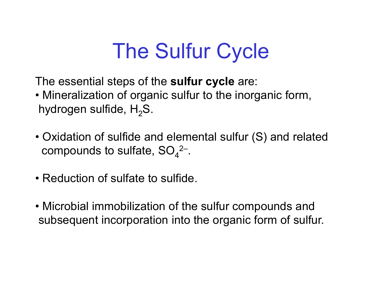## The Sulfur Cycle

The essential steps of the **sulfur cycle** are:

- Mineralization of organic sulfur to the inorganic form, hydrogen sulfide,  ${\sf H}_2{\sf S}.$
- Oxidation of sulfide and elemental sulfur (S) and related compounds to sulfate, SO $_4^{\rm 2-}$ .
- Reduction of sulfate to sulfide.
- Microbial immobilization of the sulfur compounds and subsequent incorporation into the organic form of sulfur.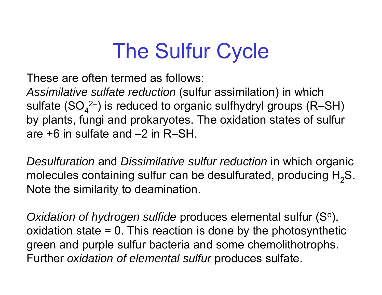# The Sulfur Cycle

These are often termed as follows:

These are often termed as follows:<br>Assimilative sulfate reduction (sulfur assimilation) in which sulfate (SO $_{\rm 4}^{\rm 2-})$  is reduced to organic sulfhydryl groups (R–SH) by plants, fungi and prokaryotes. The oxidation states of sulfur are +6 in sulfate and –2 in R–SH.

*Desulfuration* and *Dissimilative sulfur reduction* in which or ganic molecules containing sulfur can be desulfurated, producing  $\mathsf{H}_{2}\mathsf{S}.$ Note the similarity to deamination.

Oxidation of hydrogen sulfide produces elemental sulfur (Sº), oxidation state  $= 0$ . This reaction is done by the photosynthetic green and purple sul fur bacteria and some chemolithotrophs. Further *oxidation of elemental sulfur* produces sulfate.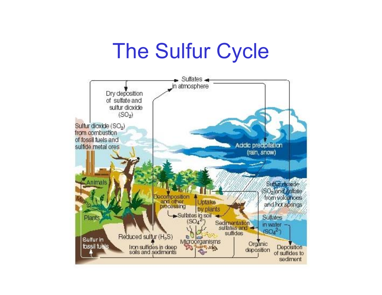#### The Sulfur Cycle

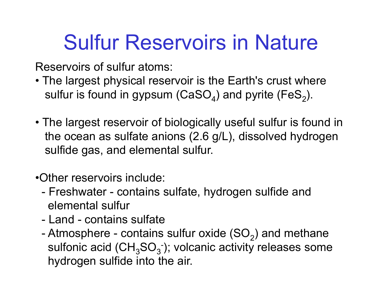# Sulfur Reservoirs in Nature

Reservoirs of sulfur atoms:

- The largest physical reservoir is the Earth's crust where sulfur is found in gypsum (CaSO $_4$ ) and pyrite (FeS $_2$ ).
- The largest reservoir of biologically useful sulfur is found in the ocean as sulfate anions (2.6 g/L), dissolved hydrogen sulfide gas, and elemental sulfur.
- •Other reservoirs include:
	- - Freshwater - contains sulfate, hydrogen sulfide and elemental sulfur
	- Land contains sulfate
	- -Atmosphere - contains sulfur oxide (SO<sub>2</sub>) and methane sulfonic acid (CH $_{3}$ SO $_{3}$ <sup>-</sup>); volcanic activity releases some hydrogen sulfide into the air.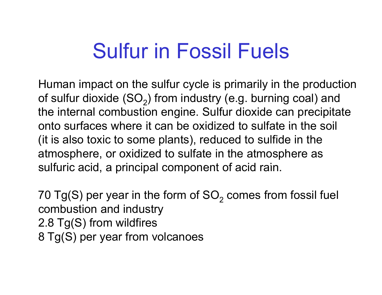# Sulfur in Fossil Fuels

Human impact on the sulfur cycle is primarily in the production of sulfur dioxide (SO<sub>2</sub>) from industry (e.g. burning coal) and the internal combustion engine. Sulfur dioxide can precipitate onto surfaces where it can be oxidized to sulfate in the soil (it is also toxic to some plants), reduced to sulfide in the atmosphere, or oxidized to sulfate in the atmosphere as sulfuric acid, a principal component of acid rain.

70 Tg(S) per year in the form of SO $_{\rm 2}$  comes from fossil fuel combustion and industry 2.8 Tg(S) from wildfires 8 Tg(S) per year from volcanoes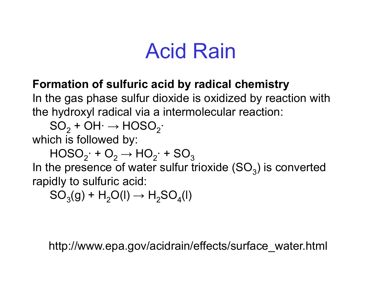#### Acid Rain

#### **Formation of sulfuric acid by radical chemistry**

In the gas phase sulfur dioxide is oxidized by reaction with the hydroxyl radical via a intermolecular reaction:

 $\mathsf{SO}_2^{}$  + OH $\cdot$   $\rightarrow$  HOSO $_2^{}$ 

which is followed by:

 $\mathsf{HOSO}_{2}^{\phantom{\prime}}\text{+O}_{2}^{\phantom{\prime}}\text{+HO}_{2}^{\phantom{\prime}}\text{+SO}_{3}^{\phantom{\prime}}$ 

In the presence of water sulfur trioxide  $(SO_3)$  is converted rapidly to sulfuric acid:

 $SO<sub>3</sub>(g) + H<sub>2</sub>O(l) \rightarrow H<sub>2</sub>SO<sub>4</sub>(l)$ 

http://www.epa.gov/acidrain/effects/surface\_water.html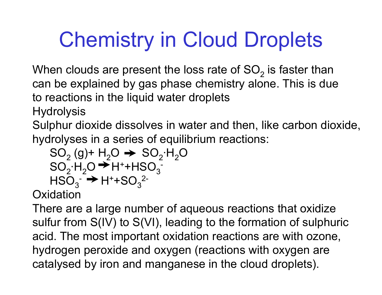# Chemistry in Cloud Droplets

When clouds are present the loss rate of SO<sub>2</sub> is faster than can be explained by gas phase chemistry alone. This is due to reactions in the liquid water droplets

**Hydrolysis** 

Sulphur dioxide dissolves in water and then, like carbon dioxide, hydrolyses in a series of equilibrium reactions:

 $\mathsf{SO}_2^{\phantom{\prime}}(\mathsf{g})$ + H<sub>2</sub>O  $\blacktriangleright$   $\mathsf{SO}_2^{\phantom{\prime}}$ H<sub>2</sub>O  $\mathsf{SO}_2\text{-}\mathsf{H}_2\mathsf{O} \blacktriangleright \mathsf{H}^\text{-}\text{-}\mathsf{HSO}_3^{-}$  $\mathsf{HSO}_{3}^{-} \rightarrow \mathsf{H}^{+} \texttt{+SO}_{3}$ 2-

**Oxidation** 

There are a large number of aqueous reactions that oxidize sulfur from S(IV) to S(VI), leading to the formation of sulphuric acid. The most important oxidation reactions are with ozone, hydrogen peroxide and oxygen (reactions with oxygen are catalysed by iron and manganese in the cloud droplets).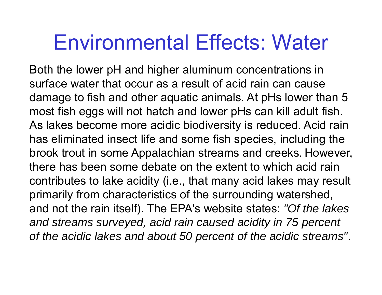#### Environmental Effects: Water

Both the lower pH and higher aluminum concentrations in surface water that occur as a result of acid rain can cause damage to fish and other aquatic animals. At pHs lower than 5 most fish eggs will not hatch and lower pHs can kill adult fish. As lakes become more acidic biodiversity is reduced. Acid rain has eliminated insect life and some fish species, including the brook trout in some Appalachian streams and creeks. However, there has been some debate on the extent to which acid rain contributes to lake acidity (i.e., that many acid lakes may result primarily from characteristics of the surrounding watershed, and not the rain itself). The EPA's website states: *"Of the lakes and streams surveyed, acid rain caused acidity in 75 percent*  of the acidic lakes and about 50 percent of the acidic streams".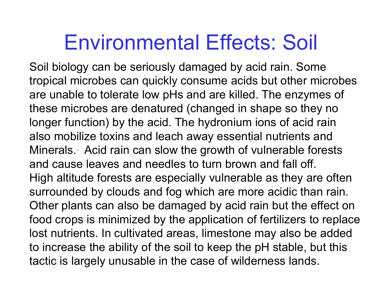#### Environmental Effects: Soil

Soil biology can be seriously damaged by acid rain. Some tropical microbes can quickly consume acids but other microbes are unable to tolerate low pHs and are killed. The enzymes of these microbes are denatured (changed in shape so they no longer function) by the acid. The hydronium ions of acid rain also mobilize toxins and leach away essential nutrients and Minerals. Acid rain can slow the growth of vulnerable forests and cause leaves and needles to turn brown and fall off. High altitude forests are especially vulnerable as they are often surrounded by clouds and fog which are more acidic than rain. Other plants can also be damaged by acid rain but the effect on food crops is minimized by the application of fertilizers to replace lost nutrients. In cultivated areas, limestone may also be added to increase the ability of the soil to keep the pH stable, but this tactic is largely unusable in the case of wilderness lands.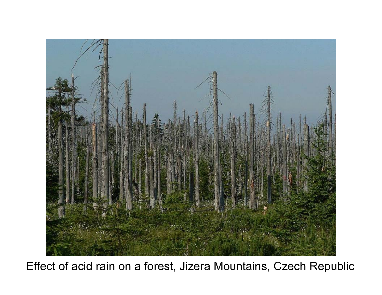

Effect of acid rain on a forest, Jizera Mountains, Czech Republic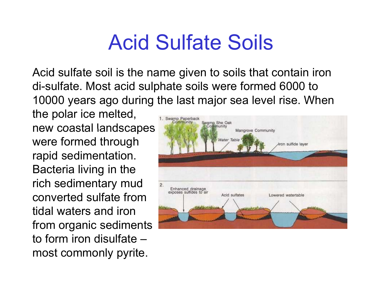#### Acid Sulfate Soils

Acid sulfate soil is the name given to soils that contain iron di-sulfate. Most acid sul phate soils were formed 6000 to 10000 years ago during the last major sea level rise. When

the polar ice melted, new coastal landscapes were formed through rapid sedimentation. Bacteria living in the rich sedimentary mud converted sulfate from tidal waters and iron from organic sediments to form iron disulfate–most commonly pyrite.

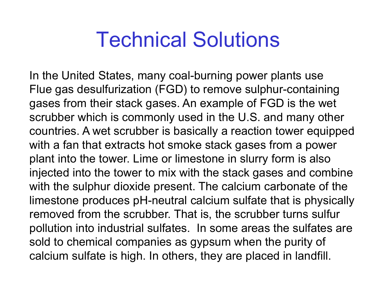#### Technical Solutions

In the United States, many coal-burning power plants use Flue gas desulfurization (FGD) to remove sulphur-containing gases from their stack gases. An example of FGD is the wet scrubber which is commonly used in the U.S. and many other countries. A wet scrubber is basically a reaction tower equipped with a fan that extracts hot smoke stack gases from a power plant into the tower. Lime or limestone in slurry form is also injected into the tower to mix with the stack gases and combine with the sulphur dioxide present. The calcium carbonate of the limestone produces pH-neutral calcium sulfate that is physically removed from the scrubber. That is, the scrubber turns sulfur pollution into industrial sulfates. In some areas the sulfates are sold to chemical companies as gypsum when the purity of calcium sulfate is high. In others, they are placed in landfill.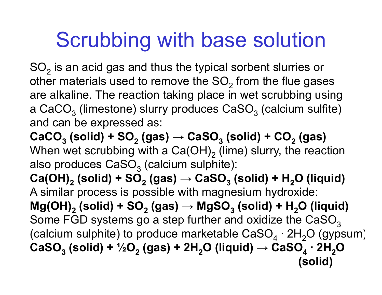# Scrubbing with base solution

 $\mathsf{SO}_2$  is an acid gas and thus the typical sorbent slurries or other materials used to remove the SO $_{\rm 2}$  from the flue gases are alkaline. The reaction taking place in wet scrubbing using a CaCO $_3$  (limestone) slurry produces CaSO $_3$  (calcium sulfite)  $\,$ and can be ex pressed as:

 $\textbf{CaCO}_{3}\text{ (solid) + SO}_{2}\text{ (gas) } \rightarrow \textbf{CaSO}_{3}\text{ (solid) + CO}_{2}\text{ (gas)}$ When wet scrubbing with a Ca(OH) $_{\rm 2}$  (lime) slurry, the reaction also produces CaSO $_3$  (calcium sulphite):

**Ca(OH) 2 (solid) + SO 2 (gas) → CaSO 3 (solid) + H <sup>2</sup>O (liquid)** A similar process is possible with magnesium hydroxide: Mg(OH) $_{\rm 2}$  (solid) + SO $_{\rm 2}$  (gas)  $\rightarrow$  MgSO $_{\rm 3}$  (solid) + H $_{\rm 2}$ O (liquid) Some FGD systems go a step further and oxidize the  $\mathtt{CaSO}_3$ (calcium sulphite) to produce marketable CaSO $_4$  · 2H $_2$ O (gypsum $\,$  $\textsf{CaSO}_{3}\textnormal{ (solid) }$  +  $\textnormal{ }\textnormal{ }\textnormal{ }\textnormal{ }\textnormal{ }\textnormal{ }\textnormal{ }\textnormal{ }\textnormal{ }\textnormal{ }^{4}$  2H<sub>2</sub>O (liquid)  $\rightarrow$  CaSO<sub>4</sub>  $\cdot$  2H<sub>2</sub>O **(solid)**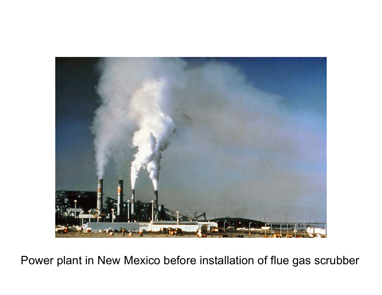

Power plant in New Mexico before installation of flue gas scrubber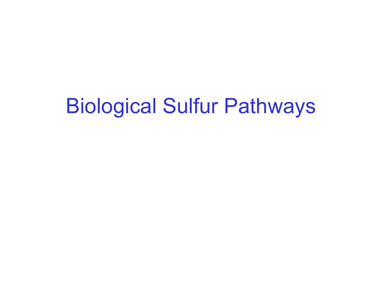### Biological Sulfur Pathways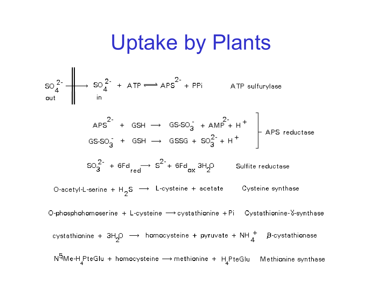#### Uptake by Plants

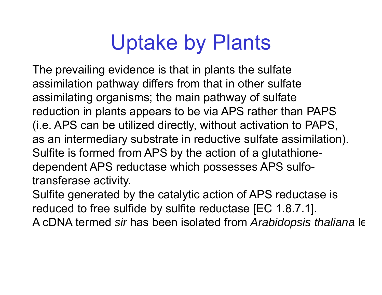# Uptake by Plants

The prevailing evidence is that in plants the sulfate assimilation pathway differs from that in other sulfate assimilating organisms; the main pathway of sulfate reduction in plants appears to be via APS rather than PAPS  $(i.e. APS can be utilized directly, without activation to PAPS,$ as an intermediary substrate in reductive sulfate assimilation). Sulfite is formed from APS by the action of a glutathionedependent APS reductase which possesses APS sulfo transferase activity.

Sulfite generated by the catalytic action of APS reductase is reduced to free sulfide by sulfite reductase [EC 1.8.7.1]. A cDNA termed *sir* has been isolated from *Arabidopsis thaliana* le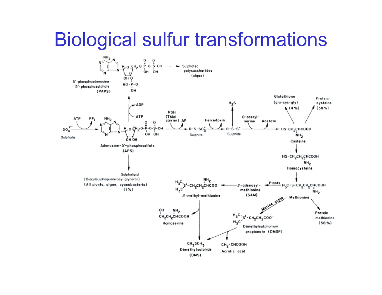#### Biological sulfur transformations

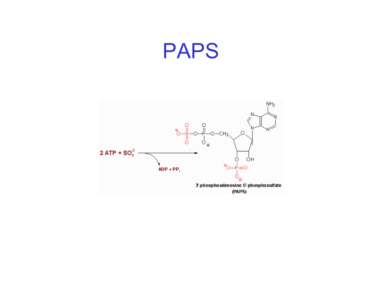#### PAPS

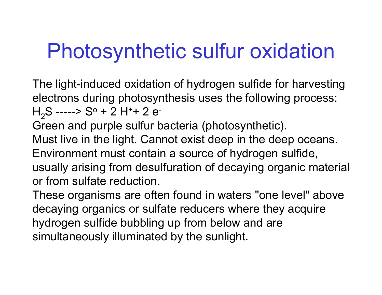# Photosynthetic sulfur oxidation

The light-induced oxidation of hydrogen sulfide for harvesting electrons during photosynthesis uses the following process: H<sub>2</sub>S -----> Sº + 2 H<sup>+</sup>+ 2 e<sup>-</sup>

Green and purple sulfur bacteria (photosynthetic).

Must live in the light. Cannot exist deep in the deep oceans.

Environment must contain a source of hydrogen sulfide,

usually arising from desulfuration of decaying organic material or from sulfate reduction.

These organisms are often found in waters "one level" above decaying organics or sulfate reducers where they acquire hydrogen sulfide bubbling up from below and are simultaneously illuminated by the sunlight.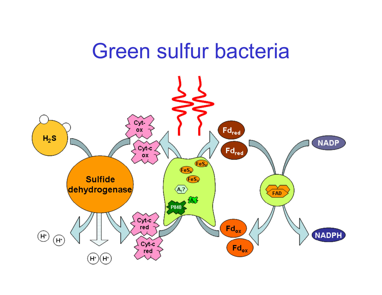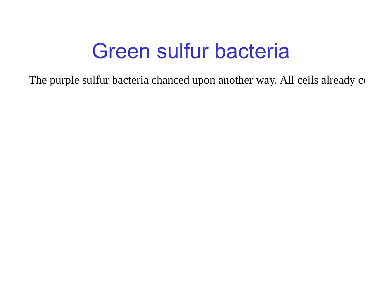### Green sulfur bacteria

The purple sulfur bacteria chanced upon another way. All cells already contain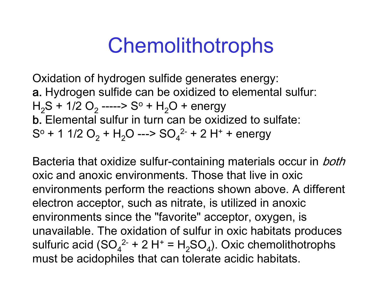### Chemolithotrophs

Oxidation of hydrogen sulfide generates energy: a. Hydrogen sulfide can be oxidized to elemental sulfur:  $\rm H_2S$  + 1/2 O $_2$  -----> S $^{\rm o}$  +  $\rm H_2O$  + energy b. Elemental sulfur in turn can be oxidized to sulfate:Sº + 1 1/2 O $_{2}$  + H $_{2}$ O ---> SO $_{4}$ <sup>2-</sup> + 2 H<sup>+</sup> + energy

Bacteria that oxidize sulfur-containing materials occur in *both* oxic and anoxic environments. Those that live in oxic environments perform the reactions shown above. A different electron acceptor, such as nitrate, is utilized in anoxic environments since the "favorite" acceptor, oxygen, is unavailable. The oxidation of sulfur in oxic habitats produces sulfuric acid (SO $_4^{\rm 2-+}$  2 H $^{\rm +}$  = H $_2^{\rm}$ SO $_4^{\rm}$ ). Oxic chemolithotrophs must be acidophiles that can tolerate acidic habitats.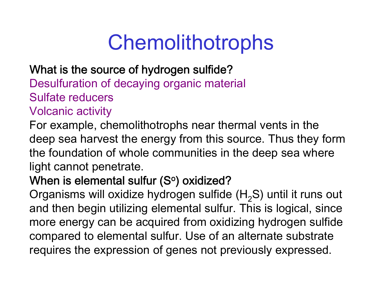# Chemolithotrophs

#### What is the source of hydrogen sulfide?

Desulfuration of decaying organic material Sulfate reducers

#### Volcanic activity

For example, chemolithotrophs near thermal vents in the deep sea harvest the energy from this source. Thus they form the foundation of whole communities in the deep sea where light cannot penetrate.

#### When is elemental sulfur (Sº) oxidized?\_

Organisms will oxidize hydrogen sulfide (H $_{2}$ S) until it runs out and then begin utilizing elemental sulfur. This is logical, since more energy can be acquired from oxidizing hydrogen sulfide com pared to elemental sulfur. Use of an alternate substrate requires the expression of genes not previously expressed.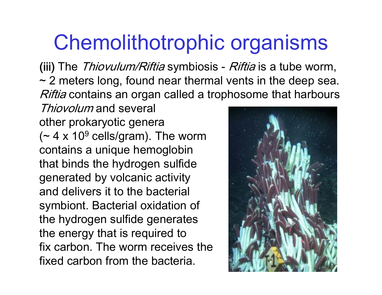#### Chemolithotrophic organisms

(iii) The *Thiovulum/Riftia* symbiosis - *Riftia* is a tube worm,  $\sim$  2 meters long, found near thermal vents in the deep sea. *Riftia* contains an organ called a trophosome that harbours

Thiovolum and several other prokaryotic genera (~ 4 x 10<sup>9</sup> cells/gram). The worm contains a unique hemoglobin that binds the hydrogen sulfide generated by volcanic activity and delivers it to the bacterial symbiont. Bacterial oxidation of the hydrogen sulfide generates the energy that is required to fix carbon. The worm receives the fixed carbon from the bacteria.

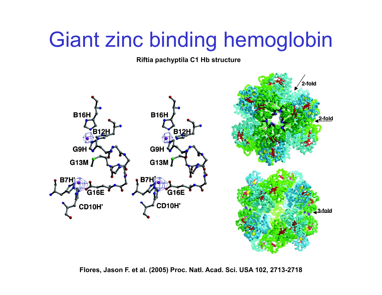## Giant zinc binding hemoglobin

**Riftia pachyptila C1 Hb structure**



**Flores, Jason F. et al. (2005) Proc. Natl. Acad. Sci. USA 102, 2713-2718**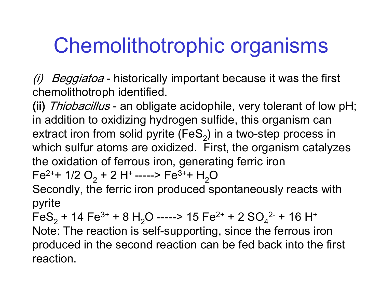# Chemolithotrophic organisms

(i) Beggiatoa - historically important because it was the first chemolithotroph identified.

(ii) Thiobacillus - an obligate acidophile, very tolerant of low pH; in addition to oxidizing hydrogen sulfide, this organism can extract iron from solid pyrite (FeS<sub>2</sub>) in a two-step process in which sulfur atoms are oxidized. First, the organism catalyzes the oxidation of ferrous iron, generating ferric iron Fe $^{\rm 2++}$  1/2 O $_{\rm 2}$  + 2 H+ -----> Fe $^{\rm 3++}$  H $_{\rm 2}$ O

Secondly, the ferric iron produced spontaneously reacts with pyrite

 $\mathsf{FeS}_2$  + 14 Fe $^{3+}$  + 8 H $_2$ O -----> 15 Fe $^{2+}$  + 2 SO $_4$  $^{2-}$  + 16 H $^+$ Note: The reaction is self-supporting, since the ferrous iron produced in the second reaction can be fed back into the first reaction.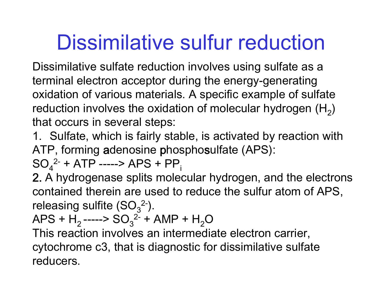# Dissimilative sulfur reduction

Dissimilative sulfate reduction involves using sulfate as a terminal electron acceptor during the energy-generating oxidation of various materials. A specific example of sulfate reduction involves the oxidation of molecular hydrogen (H<sub>2</sub>) that occurs in several steps:

1. Sulfate, which is fairly stable, is activated by reaction with ATP, forming adenosine phospho sulfate (APS):

 $\mathrm{SO}_4$ <sub>4</sub><sup>2-</sup> + ATP -----> APS + PP<sub>i</sub>

2. A hydrogenase splits molecular hydrogen, and the electrons contained therein are used to reduce the sulfur atom of APS, releasing sulfite (SO $_3^{\,2-})$ 2- ).

 $\mathsf{APS}{}+ \mathsf{H}_2$ ----->  $\mathsf{SO}_3{}^2$ <sup>2-</sup> + AMP + H<sub>2</sub>O

 This reaction involves an intermediate electron carrier, cytochrome c3, that is diagnostic for dissimilative sulfate reducers.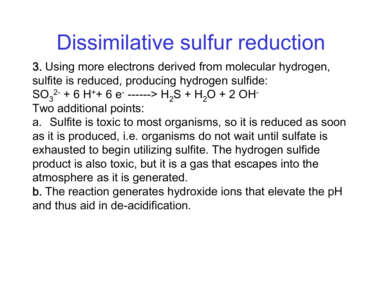# Dissimilative sulfur reduction

3. Using more electrons derived from molecular hydrogen, sulfite is reduced, producing hydrogen sulfide:

SO <sup>2-</sup> + 6 H  $_3^{2}$  + 6 H<sup>+</sup> <sup>2-</sup> + 6 H<sup>+</sup>+ 6 e<sup>-</sup> ------> H<sub>2</sub>S + H<sub>2</sub>O + 2 OH<sup>-</sup>

Two additional points:

a. Sulfite is toxic to most organisms, so it is reduced as soon as it is produced, i.e. organisms do not wait until sulfate is exhausted to begin utilizing sulfite. The hydrogen sulfide product is also toxic, but it is a gas that escapes into the atmosphere as it is generated.

b. The reaction generates hydroxide ions that elevate the pH and thus aid in de-acidification.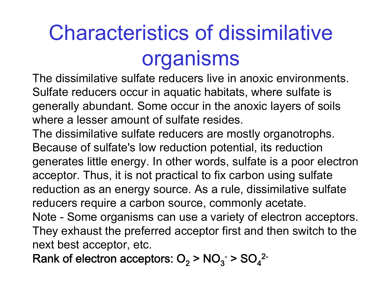# Characteristics of dissimilative organisms

The dissimilative sulfate reducers live in anoxic environments. Sulfate reducers occur in aquatic habitats, where sulfate is generally abundant. Some occur in the anoxic layers of soils where a lesser amount of sulfate resides.

The dissimilative sulfate reducers are mostly organotrophs. Because of sulfate's low reduction potential, its reduction generates little energy. In other words, sulfate is a poor electron acceptor. Thus, it is not practical to fix carbon using sulfate reduction as an energy source. As a rule, dissimilative sulfate reducers require a carbon source, commonly acetate.

Note - Some organisms can use a variety of electron acceptors. They exhaust the preferred acceptor first and then switch to the next best acceptor, etc.

Rank of electron acceptors: O $_{2}$  > NO $_{3}^{\cdot}$  > SO $_{4}^{\prime}$ 2-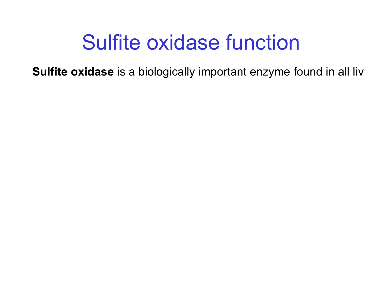#### Sulfite oxidase function

**Sulfite oxidase** is a biologically important enzyme found in all liv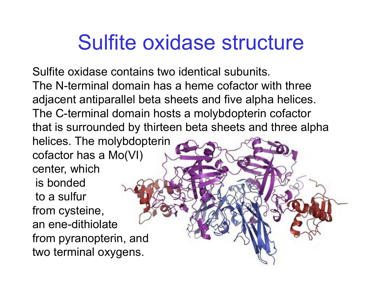#### Sulfite oxidase structure

Sulfite oxidase contains two identical subunits. The N-terminal domain has a heme cofactor with three adjacent antiparallel beta sheets and five alpha helices. The C-terminal domain hosts a molybdopterin cofactor that is surrounded by thirteen beta sheets and three alpha helices. The molybdopterin cofactor has a Mo(VI) center, which is bondedto a sulfur from cysteine, an ene-dithiolate from pyranopterin, and two terminal oxygens.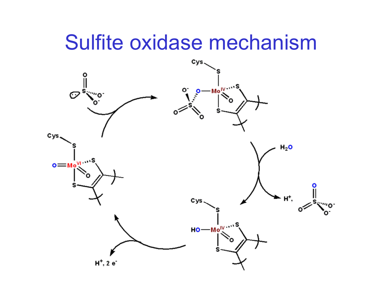#### Sulfite oxidase mechanism